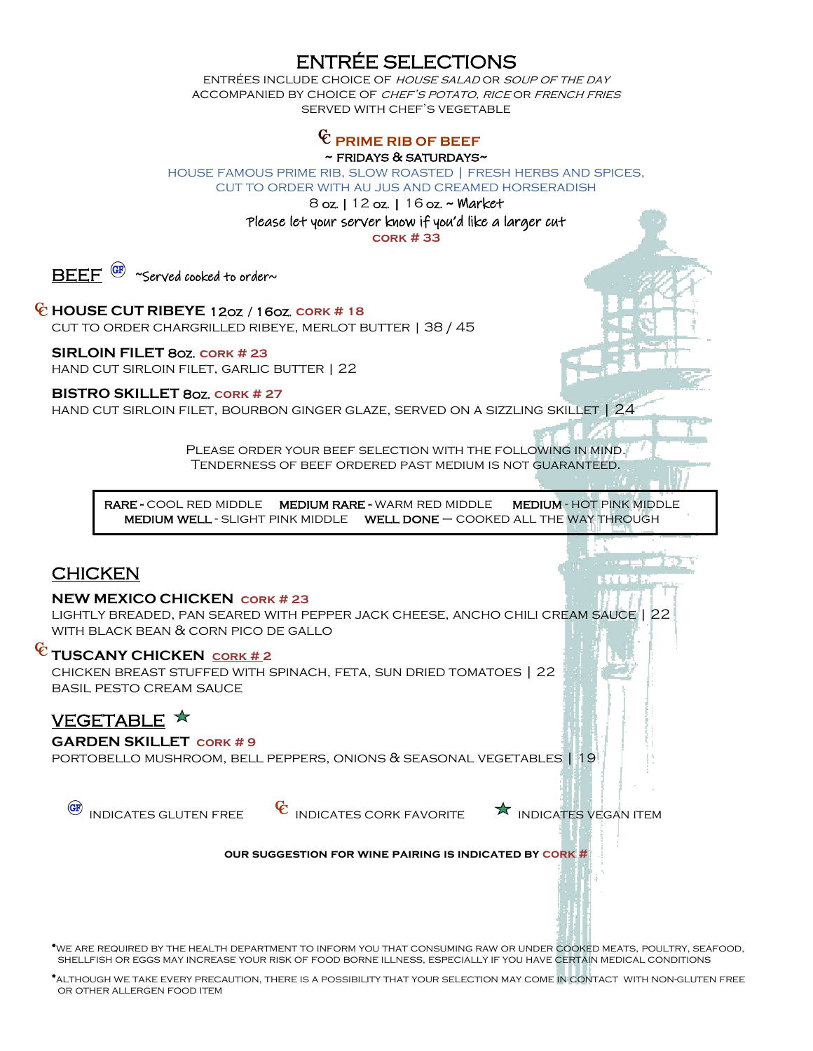# ENTRÉE SELECTIONS

entrées include choice of house salad or soup of the day accompanied by choice of chef's potato, rice or french fries served with chef's vegetable

#### $\mathop{\mathsf{R}}\nolimits$  prime RIB OF BEEF ~ fridays & saturdays~

house famous prime rib, slow roasted | fresh herbs and spices,

cut to order with au jus and creamed horseradish

<sup>8</sup>oz. <sup>|</sup> <sup>12</sup>oz. <sup>|</sup> <sup>16</sup> oz. <sup>~</sup> Market

Please let your server know if you'd like a larger cut **cork # 33**

**BEEF**  $\circledast$  ~Served cooked to order~

**HOUSE CUT RIBEYE** <sup>12</sup>oz / 16oz. **cork # <sup>18</sup>**

cut to order chargrilled ribeye, merlot butter | 38 / 45

#### **SIRLOIN FILET** 8oz. **cork # 23**

hand cut sirloin filet, garlic butter | 22

#### **BISTRO SKILLET** 8oz. **cork # 27**

hand cut sirloin filet, bourbon ginger glaze, served on a sizzling skillet | 24

Please order your beef selection with the following in mind. Tenderness of beef ordered past medium is not guaranteed.

RARE - COOL RED MIDDLE MEDIUM RARE - WARM RED MIDDLE MEDIUM - HOT PINK MIDDLE medium well - slight pink middle well done – cooked all the way through

# **CHICKEN**

#### **NEW MEXICO CHICKEN cork # 23**

lightly breaded, pan seared with pepper jack cheese, ancho chili cream sauce | 22 with black bean & corn pico de gallo

## **TUSCANY CHICKEN cork # 2**

chicken breast stuffed with spinach, feta, sun dried tomatoes | 22 basil pesto cream sauce

# VEGETABLE  $\star$

**GARDEN SKILLET cork # 9**

portobello mushroom, bell peppers, onions & seasonal vegetables | 19

INDICATES GLUTEN FREE  $\epsilon$  indicates cork favorite  $\epsilon$  indicates vegan item

**our suggestion for wine pairing is indicated by cork #**

\*we are required by the health department to inform you that consuming raw or under cooked meats, poultry, seafood, shellfish or eggs may increase your risk of food borne illness, especially if you have certain medical conditions

\*although we take every precaution, there is a possibility that your selection may come in contact with non-gluten free or other allergen food item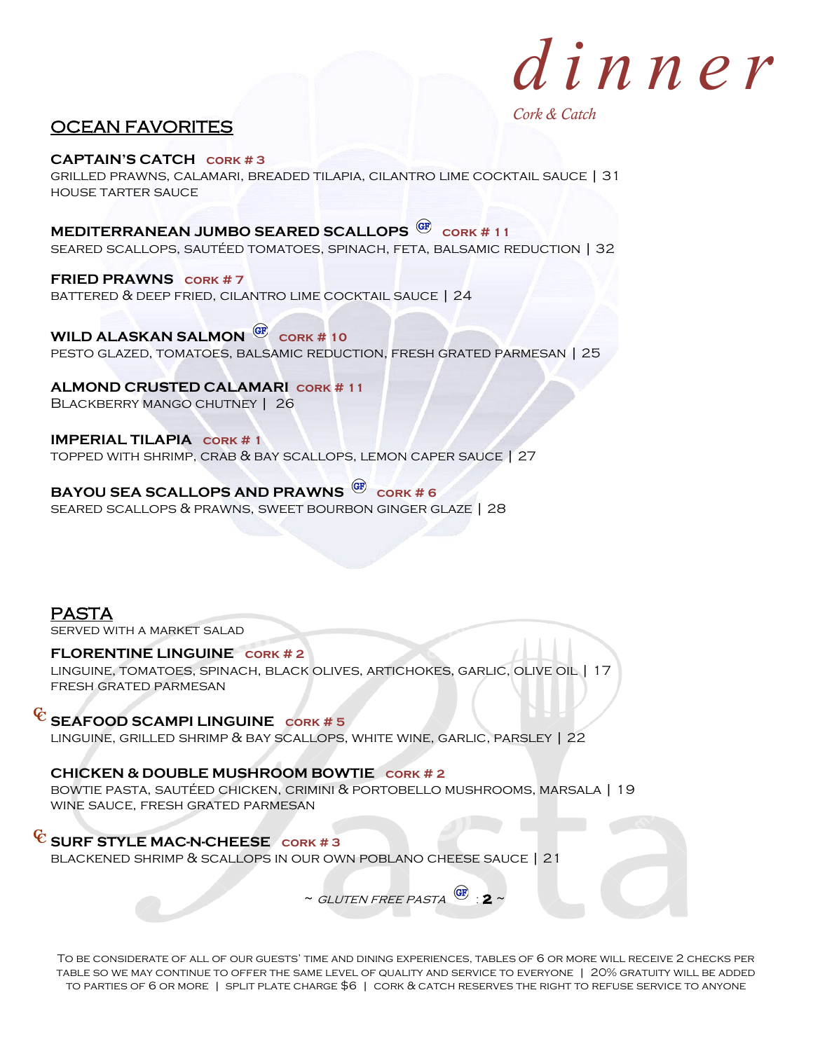### OCEAN FAVORITES I

# *d i n n e r*

*Cork & Catch*

#### **CAPTAIN'S CATCH cork # 3**

grilled prawns, calamari, breaded tilapia, cilantro lime cocktail sauce | 31 house tarter sauce

**MEDITERRANEAN JUMBO SEARED SCALLOPS cork # 11**

seared scallops, sautéed tomatoes, spinach, feta, balsamic reduction | 32

**FRIED PRAWNS cork # 7** battered & deep fried, cilantro lime cocktail sauce | 24

**WILD ALASKAN SALMON cork # 10** pesto glazed, tomatoes, balsamic reduction, fresh grated parmesan | 25

**ALMOND CRUSTED CALAMARI cork # 11** Blackberry mango chutney | 26

**IMPERIAL TILAPIA cork # 1** topped with shrimp, crab & bay scallops, lemon caper sauce | 27

**BAYOU SEA SCALLOPS AND PRAWNS cork # 6** seared scallops & prawns, sweet bourbon ginger glaze | 28

# PASTA

served with a market salad

**FLORENTINE LINGUINE cork # 2** linguine, tomatoes, spinach, black olives, artichokes, garlic, olive oil | 17 fresh grated parmesan

**SEAFOOD SCAMPI LINGUINE cork # 5** linguine, grilled shrimp & bay scallops, white wine, garlic, parsley | 22

**CHICKEN & DOUBLE MUSHROOM BOWTIE cork # 2** bowtie pasta, sautéed chicken, crimini & portobello mushrooms, marsala | 19 wine sauce, fresh grated parmesan

**SURF STYLE MAC-N-CHEESE cork # 3** blackened shrimp & scallops in our own poblano cheese sauce | 21

 $\sim$  GLUTEN FREE PASTA  $\left(\begin{matrix} \mathbb{G}\mathbb{F} \end{matrix}\right)$   $\cdot$  **2** 

To be considerate of all of our guests' time and dining experiences, tables of 6 or more will receive 2 checks per table so we may continue to offer the same level of quality and service to everyone | 20% gratuity will be added to parties of 6 or more | split plate charge \$6 | cork & catch reserves the right to refuse service to anyone